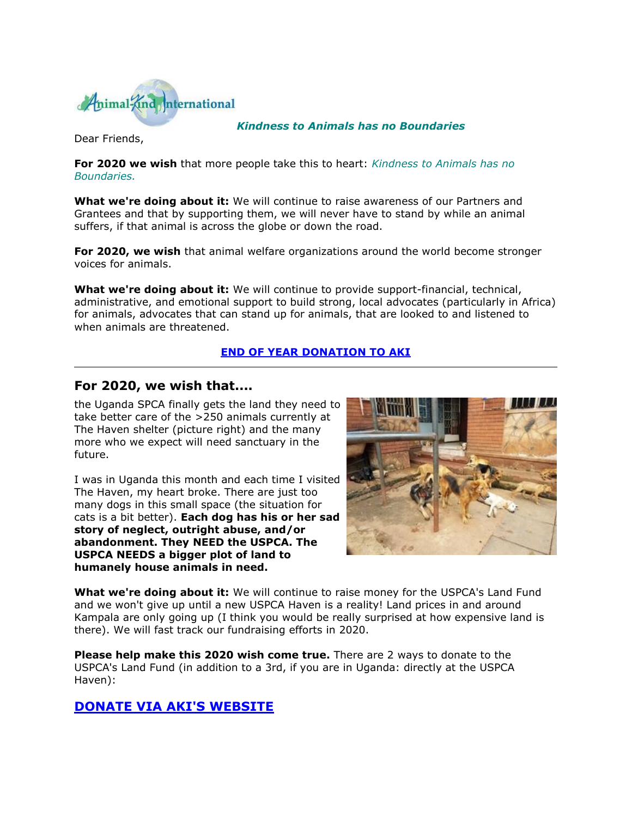

### *Kindness to Animals has no Boundaries*

Dear Friends,

**For 2020 we wish** that more people take this to heart: *Kindness to Animals has no Boundaries.*

**What we're doing about it:** We will continue to raise awareness of our Partners and Grantees and that by supporting them, we will never have to stand by while an animal suffers, if that animal is across the globe or down the road.

**For 2020, we wish** that animal welfare organizations around the world become stronger voices for animals.

**What we're doing about it:** We will continue to provide support-financial, technical, administrative, and emotional support to build strong, local advocates (particularly in Africa) for animals, advocates that can stand up for animals, that are looked to and listened to when animals are threatened.

### **[END OF YEAR DONATION TO AKI](http://cts.vresp.com/c/?AnimalKindInternatio/17c417cca4/4d75da415c/d17d797b9b)**

### **For 2020, we wish that....**

the Uganda SPCA finally gets the land they need to take better care of the >250 animals currently at The Haven shelter (picture right) and the many more who we expect will need sanctuary in the future.

I was in Uganda this month and each time I visited The Haven, my heart broke. There are just too many dogs in this small space (the situation for cats is a bit better). **Each dog has his or her sad story of neglect, outright abuse, and/or abandonment. They NEED the USPCA. The USPCA NEEDS a bigger plot of land to humanely house animals in need.**



**What we're doing about it:** We will continue to raise money for the USPCA's Land Fund and we won't give up until a new USPCA Haven is a reality! Land prices in and around Kampala are only going up (I think you would be really surprised at how expensive land is there). We will fast track our fundraising efforts in 2020.

**Please help make this 2020 wish come true.** There are 2 ways to donate to the USPCA's Land Fund (in addition to a 3rd, if you are in Uganda: directly at the USPCA Haven):

# **[DONATE VIA AKI'S WEBSITE](http://cts.vresp.com/c/?AnimalKindInternatio/17c417cca4/4d75da415c/9ffa1a96a1)**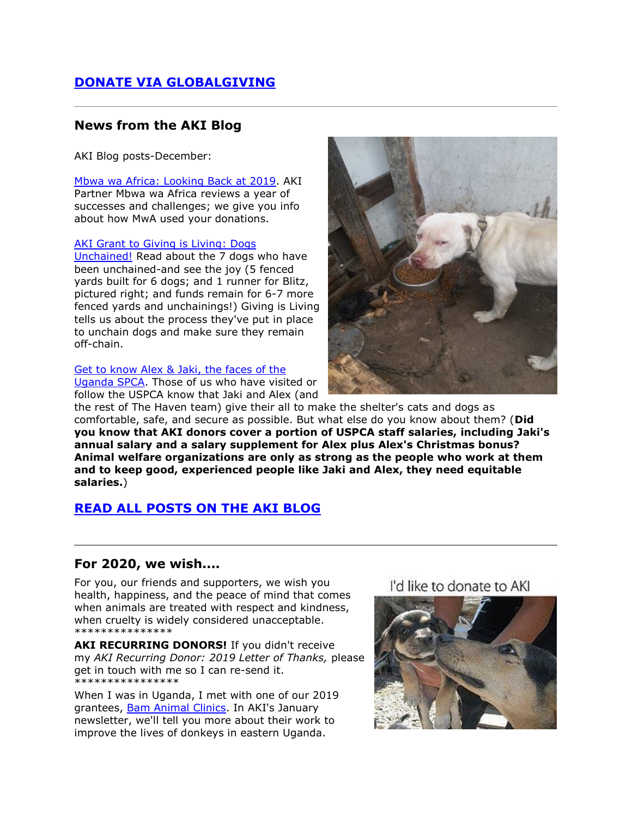# **[DONATE VIA GLOBALGIVING](http://cts.vresp.com/c/?AnimalKindInternatio/17c417cca4/4d75da415c/8f3d7e077a)**

### **News from the AKI Blog**

AKI Blog posts-December:

[Mbwa wa Africa: Looking Back at 2019.](http://cts.vresp.com/c/?AnimalKindInternatio/17c417cca4/4d75da415c/12fb7a10e0) AKI Partner Mbwa wa Africa reviews a year of successes and challenges; we give you info about how MwA used your donations.

#### [AKI Grant to Giving is Living: Dogs](http://cts.vresp.com/c/?AnimalKindInternatio/17c417cca4/4d75da415c/a7239c1b31)

[Unchained!](http://cts.vresp.com/c/?AnimalKindInternatio/17c417cca4/4d75da415c/a7239c1b31) Read about the 7 dogs who have been unchained-and see the joy (5 fenced yards built for 6 dogs; and 1 runner for Blitz, pictured right; and funds remain for 6-7 more fenced yards and unchainings!) Giving is Living tells us about the process they've put in place to unchain dogs and make sure they remain off-chain.

#### [Get to know Alex & Jaki, the faces of the](http://cts.vresp.com/c/?AnimalKindInternatio/17c417cca4/4d75da415c/5dda1f64a7)

[Uganda SPCA.](http://cts.vresp.com/c/?AnimalKindInternatio/17c417cca4/4d75da415c/5dda1f64a7) Those of us who have visited or follow the USPCA know that Jaki and Alex (and



the rest of The Haven team) give their all to make the shelter's cats and dogs as comfortable, safe, and secure as possible. But what else do you know about them? (**Did you know that AKI donors cover a portion of USPCA staff salaries, including Jaki's annual salary and a salary supplement for Alex plus Alex's Christmas bonus? Animal welfare organizations are only as strong as the people who work at them and to keep good, experienced people like Jaki and Alex, they need equitable salaries.**)

# **[READ ALL POSTS ON THE AKI BLOG](http://cts.vresp.com/c/?AnimalKindInternatio/17c417cca4/4d75da415c/c897a30da3)**

### **For 2020, we wish....**

For you, our friends and supporters, we wish you health, happiness, and the peace of mind that comes when animals are treated with respect and kindness, when cruelty is widely considered unacceptable. \*\*\*\*\*\*\*\*\*\*\*\*\*\*\*

AKI RECURRING DONORS! If you didn't receive my *AKI Recurring Donor: 2019 Letter of Thanks,* please get in touch with me so I can re-send it. **\***\*\*\*\*\*\*\*\*\*\*\*\*\*\*\*

When I was in Uganda, I met with one of our 2019 grantees, [Bam Animal Clinics.](http://cts.vresp.com/c/?AnimalKindInternatio/17c417cca4/4d75da415c/75a297e4d8) In AKI's January newsletter, we'll tell you more about their work to improve the lives of donkeys in eastern Uganda.

# I'd like to donate to AKI